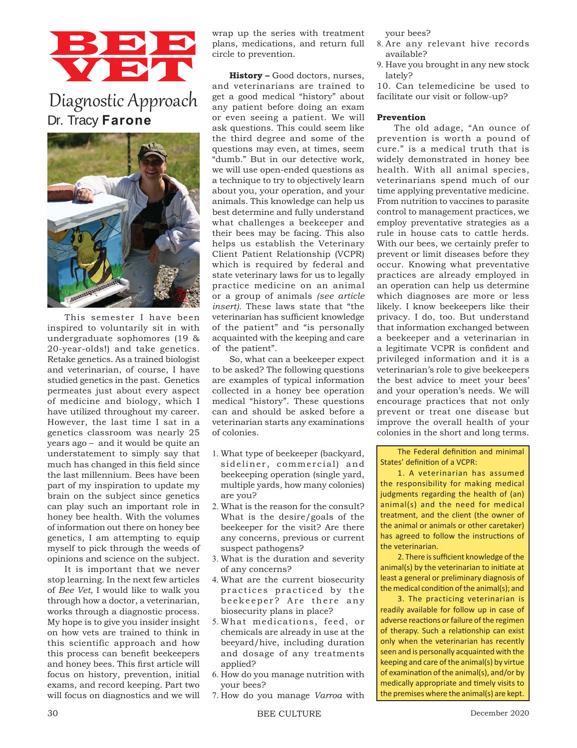# BBB VET

## Diagnostic Approach Dr. Tracy **Farone**



This semester I have been inspired to voluntarily sit in with undergraduate sophomores (19 & 20-year-olds!) and take genetics. Retake genetics. As a trained biologist and veterinarian, of course, I have studied genetics in the past. Genetics permeates just about every aspect of medicine and biology, which I have utilized throughout my career. However, the last time I sat in a genetics classroom was nearly 25 years ago – and it would be quite an understatement to simply say that much has changed in this field since the last millennium. Bees have been part of my inspiration to update my brain on the subject since genetics can play such an important role in honey bee health. With the volumes of information out there on honey bee genetics, I am attempting to equip myself to pick through the weeds of opinions and science on the subject.

It is important that we never stop learning. In the next few articles of *Bee Vet*, I would like to walk you through how a doctor, a veterinarian, works through a diagnostic process. My hope is to give you insider insight on how vets are trained to think in this scientific approach and how this process can benefit beekeepers and honey bees. This first article will focus on history, prevention, initial exams, and record keeping. Part two will focus on diagnostics and we will wrap up the series with treatment plans, medications, and return full circle to prevention.

**History –** Good doctors, nurses, and veterinarians are trained to get a good medical "history" about any patient before doing an exam or even seeing a patient. We will ask questions. This could seem like the third degree and some of the questions may even, at times, seem "dumb." But in our detective work, we will use open-ended questions as a technique to try to objectively learn about you, your operation, and your animals. This knowledge can help us best determine and fully understand what challenges a beekeeper and their bees may be facing. This also helps us establish the Veterinary Client Patient Relationship (VCPR) which is required by federal and state veterinary laws for us to legally practice medicine on an animal or a group of animals *(see article insert).* These laws state that "the veterinarian has sufficient knowledge of the patient" and "is personally acquainted with the keeping and care of the patient".

So, what can a beekeeper expect to be asked? The following questions are examples of typical information collected in a honey bee operation medical "history". These questions can and should be asked before a veterinarian starts any examinations of colonies.

- 1. What type of beekeeper (backyard, sideliner, commercial) and beekeeping operation (single yard, multiple yards, how many colonies) are you?
- 2. What is the reason for the consult? What is the desire/goals of the beekeeper for the visit? Are there any concerns, previous or current suspect pathogens?
- 3. What is the duration and severity of any concerns?
- 4. What are the current biosecurity practices practiced by the beekeeper? Are there any biosecurity plans in place?
- 5. What medications, feed, or chemicals are already in use at the beeyard/hive, including duration and dosage of any treatments applied?
- 6. How do you manage nutrition with your bees?
- 7. How do you manage *Varroa* with

your bees?

- 8. Are any relevant hive records available?
- 9. Have you brought in any new stock lately?

10. Can telemedicine be used to facilitate our visit or follow-up?

#### **Prevention**

The old adage, "An ounce of prevention is worth a pound of cure." is a medical truth that is widely demonstrated in honey bee health. With all animal species, veterinarians spend much of our time applying preventative medicine. From nutrition to vaccines to parasite control to management practices, we employ preventative strategies as a rule in house cats to cattle herds. With our bees, we certainly prefer to prevent or limit diseases before they occur. Knowing what preventative practices are already employed in an operation can help us determine which diagnoses are more or less likely. I know beekeepers like their privacy. I do, too. But understand that information exchanged between a beekeeper and a veterinarian in a legitimate VCPR is confident and privileged information and it is a veterinarian's role to give beekeepers the best advice to meet your bees' and your operation's needs. We will encourage practices that not only prevent or treat one disease but improve the overall health of your colonies in the short and long terms.

The Federal definition and minimal States' definition of a VCPR:

1. A veterinarian has assumed the responsibility for making medical judgments regarding the health of (an) animal(s) and the need for medical treatment, and the client (the owner of the animal or animals or other caretaker) has agreed to follow the instructions of the veterinarian.

2. There is sufficient knowledge of the animal(s) by the veterinarian to initiate at least a general or preliminary diagnosis of the medical condition of the animal(s); and

3. The practicing veterinarian is readily available for follow up in case of adverse reactions or failure of the regimen of therapy. Such a relationship can exist only when the veterinarian has recently seen and is personally acquainted with the keeping and care of the animal(s) by virtue of examination of the animal(s), and/or by medically appropriate and timely visits to the premises where the animal(s) are kept.